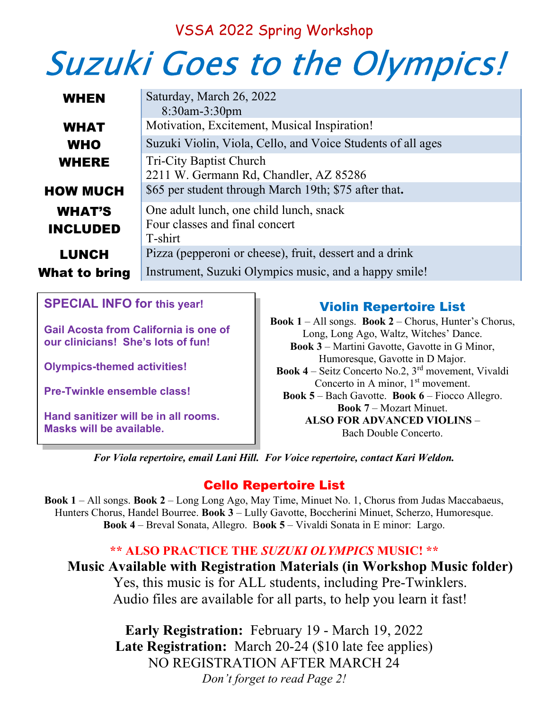# VSSA 2022 Spring Workshop

# Suzuki Goes to the Olympics!

| <b>WHEN</b>                      | Saturday, March 26, 2022<br>$8:30$ am-3:30pm                                         |
|----------------------------------|--------------------------------------------------------------------------------------|
| <b>WHAT</b>                      | Motivation, Excitement, Musical Inspiration!                                         |
| <b>WHO</b>                       | Suzuki Violin, Viola, Cello, and Voice Students of all ages                          |
| <b>WHERE</b>                     | <b>Tri-City Baptist Church</b><br>2211 W. Germann Rd, Chandler, AZ 85286             |
| <b>HOW MUCH</b>                  | \$65 per student through March 19th; \$75 after that.                                |
| <b>WHAT'S</b><br><b>INCLUDED</b> | One adult lunch, one child lunch, snack<br>Four classes and final concert<br>T-shirt |
| <b>LUNCH</b>                     | Pizza (pepperoni or cheese), fruit, dessert and a drink                              |
| What to bring                    | Instrument, Suzuki Olympics music, and a happy smile!                                |
|                                  |                                                                                      |

SPECIAL INFO for this year!

Gail Acosta from California is one of our clinicians! She's lots of fun!

Olympics-themed activities!

Pre-Twinkle ensemble class!

Hand sanitizer will be in all rooms. Masks will be available.

### Violin Repertoire List

Book 1 – All songs. Book 2 – Chorus, Hunter's Chorus, Long, Long Ago, Waltz, Witches' Dance. Book 3 – Martini Gavotte, Gavotte in G Minor, Humoresque, Gavotte in D Major. **Book 4** – Seitz Concerto No.2,  $3^{rd}$  movement, Vivaldi Concerto in A minor,  $1<sup>st</sup>$  movement. Book 5 – Bach Gavotte. Book 6 – Fiocco Allegro. Book 7 – Mozart Minuet. ALSO FOR ADVANCED VIOLINS – Bach Double Concerto.

For Viola repertoire, email Lani Hill. For Voice repertoire, contact Kari Weldon.

### Cello Repertoire List

Book 1 – All songs. Book 2 – Long Long Ago, May Time, Minuet No. 1, Chorus from Judas Maccabaeus, Hunters Chorus, Handel Bourree. Book 3 - Lully Gavotte, Boccherini Minuet, Scherzo, Humoresque. Book 4 – Breval Sonata, Allegro. Book 5 – Vivaldi Sonata in E minor: Largo.

#### \*\* ALSO PRACTICE THE SUZUKI OLYMPICS MUSIC! \*\*

Music Available with Registration Materials (in Workshop Music folder) Yes, this music is for ALL students, including Pre-Twinklers.

Audio files are available for all parts, to help you learn it fast!

Early Registration: February 19 - March 19, 2022 Late Registration: March 20-24 (\$10 late fee applies) NO REGISTRATION AFTER MARCH 24 Don't forget to read Page 2!